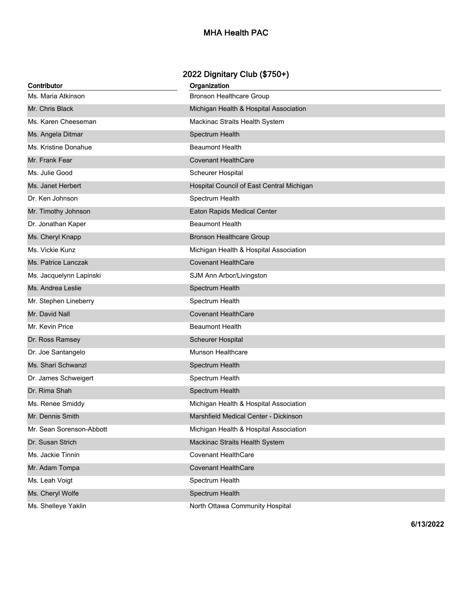## **MHA Health PAC**

## **2022 Dignitary Club (\$750+)**

| Contributor              | Organization                              |
|--------------------------|-------------------------------------------|
| Ms. Maria Atkinson       | <b>Bronson Healthcare Group</b>           |
| Mr. Chris Black          | Michigan Health & Hospital Association    |
| Ms. Karen Cheeseman      | Mackinac Straits Health System            |
| Ms. Angela Ditmar        | Spectrum Health                           |
| Ms. Kristine Donahue     | <b>Beaumont Health</b>                    |
| Mr. Frank Fear           | <b>Covenant HealthCare</b>                |
| Ms. Julie Good           | <b>Scheurer Hospital</b>                  |
| Ms. Janet Herbert        | Hospital Council of East Central Michigan |
| Dr. Ken Johnson          | Spectrum Health                           |
| Mr. Timothy Johnson      | Eaton Rapids Medical Center               |
| Dr. Jonathan Kaper       | <b>Beaumont Health</b>                    |
| Ms. Cheryl Knapp         | <b>Bronson Healthcare Group</b>           |
| Ms. Vickie Kunz          | Michigan Health & Hospital Association    |
| Ms. Patrice Lanczak      | <b>Covenant HealthCare</b>                |
| Ms. Jacquelynn Lapinski  | SJM Ann Arbor/Livingston                  |
| Ms. Andrea Leslie        | Spectrum Health                           |
| Mr. Stephen Lineberry    | Spectrum Health                           |
| Mr. David Nall           | <b>Covenant HealthCare</b>                |
| Mr. Kevin Price          | <b>Beaumont Health</b>                    |
| Dr. Ross Ramsey          | Scheurer Hospital                         |
| Dr. Joe Santangelo       | Munson Healthcare                         |
| Ms. Shari Schwanzl       | Spectrum Health                           |
| Dr. James Schweigert     | Spectrum Health                           |
| Dr. Rima Shah            | Spectrum Health                           |
| Ms. Renee Smiddy         | Michigan Health & Hospital Association    |
| Mr. Dennis Smith         | Marshfield Medical Center - Dickinson     |
| Mr. Sean Sorenson-Abbott | Michigan Health & Hospital Association    |
| Dr. Susan Strich         | Mackinac Straits Health System            |
| Ms. Jackie Tinnin        | <b>Covenant HealthCare</b>                |
| Mr. Adam Tompa           | <b>Covenant HealthCare</b>                |
| Ms. Leah Voigt           | Spectrum Health                           |
| Ms. Cheryl Wolfe         | Spectrum Health                           |
| Ms. Shelleye Yaklin      | North Ottawa Community Hospital           |